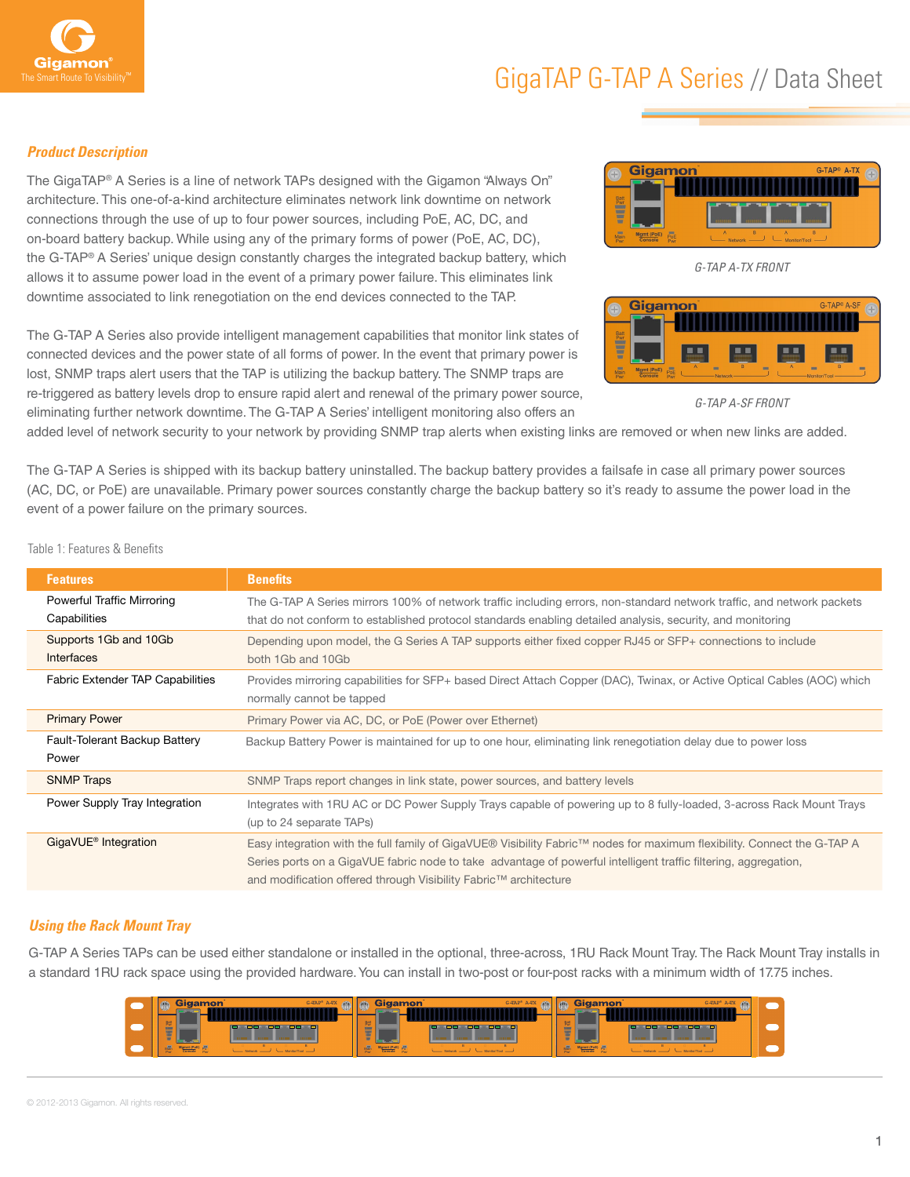

#### *Product Description*

The GigaTAP® A Series is a line of network TAPs designed with the Gigamon "Always On" architecture. This one-of-a-kind architecture eliminates network link downtime on network connections through the use of up to four power sources, including PoE, AC, DC, and on-board battery backup. While using any of the primary forms of power (PoE, AC, DC), the G-TAP® A Series' unique design constantly charges the integrated backup battery, which allows it to assume power load in the event of a primary power failure. This eliminates link downtime associated to link renegotiation on the end devices connected to the TAP.

The G-TAP A Series also provide intelligent management capabilities that monitor link states of connected devices and the power state of all forms of power. In the event that primary power is lost, SNMP traps alert users that the TAP is utilizing the backup battery. The SNMP traps are re-triggered as battery levels drop to ensure rapid alert and renewal of the primary power source, eliminating further network downtime. The G-TAP A Series' intelligent monitoring also offers an



*G-TAP A-TX FRONT*



*G-TAP A-SF FRONT*

added level of network security to your network by providing SNMP trap alerts when existing links are removed or when new links are added.

The G-TAP A Series is shipped with its backup battery uninstalled. The backup battery provides a failsafe in case all primary power sources (AC, DC, or PoE) are unavailable. Primary power sources constantly charge the backup battery so it's ready to assume the power load in the event of a power failure on the primary sources.

**Features Benefits** Powerful Traffic Mirroring **Capabilities** The G-TAP A Series mirrors 100% of network traffic including errors, non-standard network traffic, and network packets that do not conform to established protocol standards enabling detailed analysis, security, and monitoring Supports 1Gb and 10Gb **Interfaces** Depending upon model, the G Series A TAP supports either fixed copper RJ45 or SFP+ connections to include both 1Gb and 10Gb Fabric Extender TAP Capabilities Provides mirroring capabilities for SFP+ based Direct Attach Copper (DAC), Twinax, or Active Optical Cables (AOC) which normally cannot be tapped Primary Power Primary Power via AC, DC, or PoE (Power over Ethernet) Fault-Tolerant Backup Battery Power Backup Battery Power is maintained for up to one hour, eliminating link renegotiation delay due to power loss SNMP Traps SNMP Traps report changes in link state, power sources, and battery levels Power Supply Tray Integration **Integrates with 1RU AC or DC Power Supply Trays capable of powering up to 8 fully-loaded, 3-across Rack Mount Trays** (up to 24 separate TAPs) GigaVUE® Integration Easy integration with the full family of GigaVUE® Visibility Fabric™ nodes for maximum flexibility. Connect the G-TAP A Series ports on a GigaVUE fabric node to take advantage of powerful intelligent traffic filtering, aggregation, and modification offered through Visibility Fabric™ architecture

Table 1: Features & Benefits

### *Using the Rack Mount Tray*

G-TAP A Series TAPs can be used either standalone or installed in the optional, three-across, 1RU Rack Mount Tray. The Rack Mount Tray installs in a standard 1RU rack space using the provided hardware. You can install in two-post or four-post racks with a minimum width of 17.75 inches.

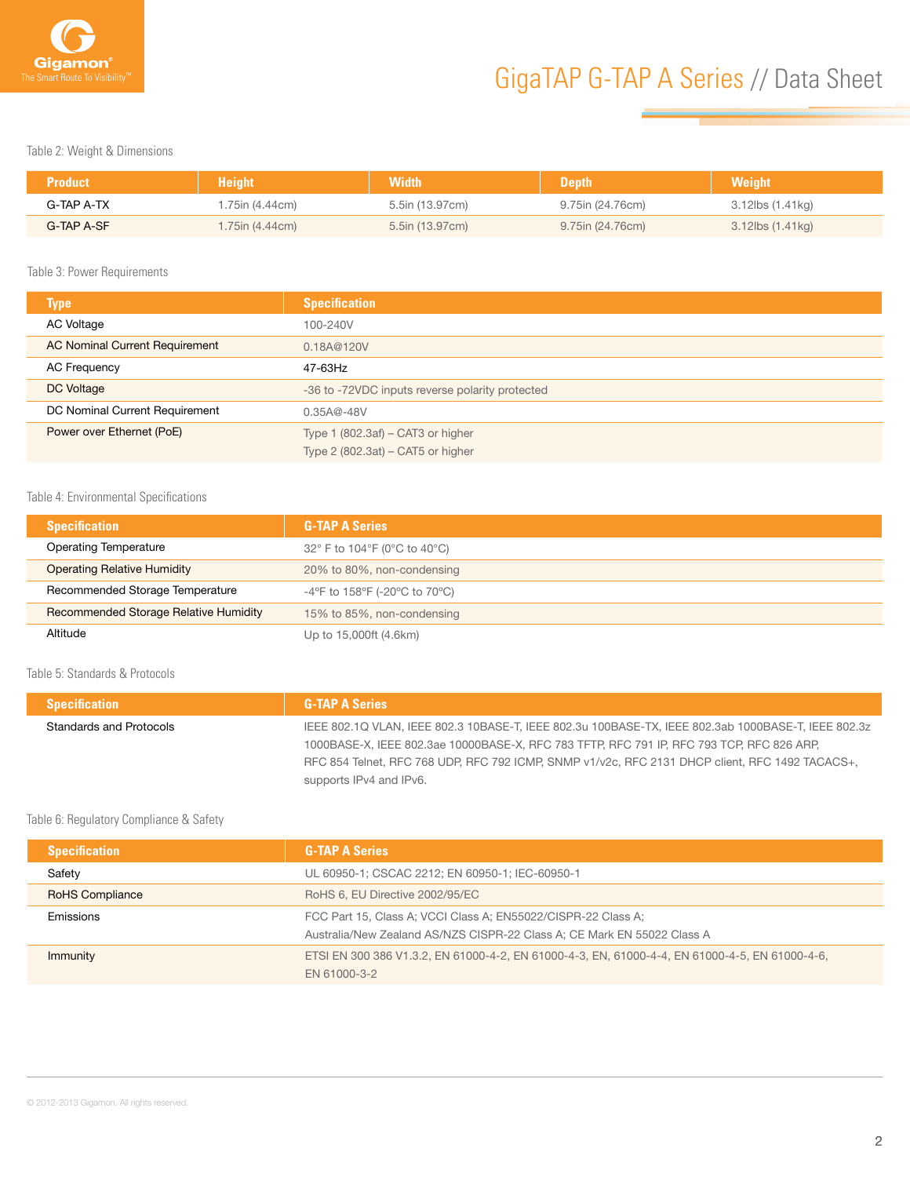

Table 2: Weight & Dimensions

| <b>Product</b> | <b>Height</b>   | <b>Width</b>    | <b>Depth</b>     | <b>Weight</b>    |
|----------------|-----------------|-----------------|------------------|------------------|
| G-TAP A-TX     | 1.75in (4.44cm) | 5.5in (13.97cm) | 9.75in (24.76cm) | 3.12lbs (1.41kg) |
| G-TAP A-SF     | 1.75in (4.44cm) | 5.5in (13.97cm) | 9.75in (24.76cm) | 3.12lbs (1.41kg) |

Table 3: Power Requirements

| <b>Type</b>                           | <b>Specification</b>                            |
|---------------------------------------|-------------------------------------------------|
| AC Voltage                            | 100-240V                                        |
| <b>AC Nominal Current Requirement</b> | 0.18A@120V                                      |
| <b>AC Frequency</b>                   | 47-63Hz                                         |
| DC Voltage                            | -36 to -72VDC inputs reverse polarity protected |
| DC Nominal Current Requirement        | $0.35A@ - 48V$                                  |
| Power over Ethernet (PoE)             | Type $1(802.3af) - CAT3$ or higher              |
|                                       | Type $2$ (802.3at) – CAT5 or higher             |

#### Table 4: Environmental Specifications

| <b>Specification</b>                  | <b>G-TAP A Series</b>         |
|---------------------------------------|-------------------------------|
| <b>Operating Temperature</b>          | 32° F to 104°F (0°C to 40°C)  |
| Operating Relative Humidity           | 20% to 80%, non-condensing    |
| Recommended Storage Temperature       | -4°F to 158°F (-20°C to 70°C) |
| Recommended Storage Relative Humidity | 15% to 85%, non-condensing    |
| Altitude                              | Up to 15,000ft (4.6km)        |

Table 5: Standards & Protocols

I

| <b>Specification</b>    | <b>G-TAP A Series</b>                                                                               |
|-------------------------|-----------------------------------------------------------------------------------------------------|
| Standards and Protocols | IEEE 802.1Q VLAN, IEEE 802.3 10BASE-T, IEEE 802.3u 100BASE-TX, IEEE 802.3ab 1000BASE-T, IEEE 802.3z |
|                         | 1000BASE-X, IEEE 802.3ae 10000BASE-X, RFC 783 TFTP, RFC 791 IP, RFC 793 TCP, RFC 826 ARP,           |
|                         | RFC 854 Telnet, RFC 768 UDP, RFC 792 ICMP, SNMP v1/v2c, RFC 2131 DHCP client, RFC 1492 TACACS+,     |
|                         | supports IPv4 and IPv6.                                                                             |
|                         |                                                                                                     |

#### Table 6: Regulatory Compliance & Safety

| <b>Specification</b>   | <b>G-TAP A Series</b>                                                                                                                    |  |
|------------------------|------------------------------------------------------------------------------------------------------------------------------------------|--|
| Safety                 | UL 60950-1; CSCAC 2212; EN 60950-1; IEC-60950-1                                                                                          |  |
| <b>RoHS Compliance</b> | RoHS 6, EU Directive 2002/95/EC                                                                                                          |  |
| Emissions              | FCC Part 15, Class A; VCCI Class A; EN55022/CISPR-22 Class A;<br>Australia/New Zealand AS/NZS CISPR-22 Class A; CE Mark EN 55022 Class A |  |
| Immunity               | ETSI EN 300 386 V1.3.2, EN 61000-4-2, EN 61000-4-3, EN, 61000-4-4, EN 61000-4-5, EN 61000-4-6,<br>EN 61000-3-2                           |  |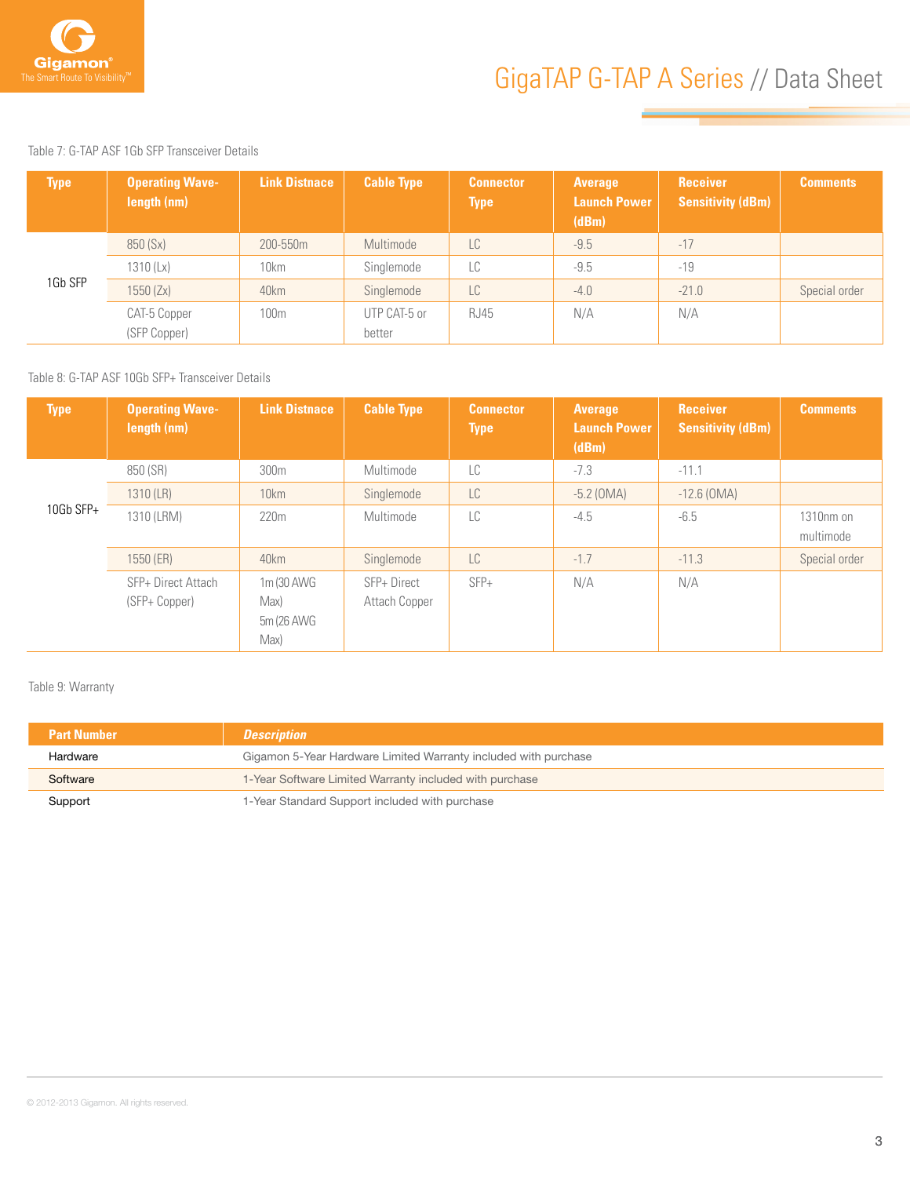

Table 7: G-TAP ASF 1Gb SFP Transceiver Details

| <b>Type</b> | <b>Operating Wave-</b><br>length (nm) | Link Distnace | <b>Cable Type</b> | <b>Connector</b><br><b>Type</b> | <b>Average</b><br><b>Launch Power</b><br>(dBm) | Receiver<br><b>Sensitivity (dBm)</b> | <b>Comments</b> |
|-------------|---------------------------------------|---------------|-------------------|---------------------------------|------------------------------------------------|--------------------------------------|-----------------|
|             | 850 (Sx)                              | 200-550m      | Multimode         | LC                              | $-9.5$                                         | $-17$                                |                 |
|             | 1310 (Lx)                             | 10km          | Singlemode        | LC                              | $-9.5$                                         | $-19$                                |                 |
| 1Gb SFP     | 1550 (Zx)                             | 40km          | Singlemode        | LC                              | $-4.0$                                         | $-21.0$                              | Special order   |
|             | CAT-5 Copper                          | 100m          | UTP CAT-5 or      | <b>RJ45</b>                     | N/A                                            | N/A                                  |                 |
|             | (SFP Copper)                          |               | better            |                                 |                                                |                                      |                 |

Table 8: G-TAP ASF 10Gb SFP+ Transceiver Details

| <b>Type</b> | <b>Operating Wave-</b><br>length (nm) | <b>Link Distnace</b>                      | <b>Cable Type</b>            | <b>Connector</b><br><b>Type</b> | <b>Average</b><br><b>Launch Power</b><br>(dBm) | <b>Receiver</b><br><b>Sensitivity (dBm)</b> | <b>Comments</b>        |
|-------------|---------------------------------------|-------------------------------------------|------------------------------|---------------------------------|------------------------------------------------|---------------------------------------------|------------------------|
|             | 850 (SR)                              | 300m                                      | Multimode                    | LC                              | $-7.3$                                         | $-11.1$                                     |                        |
|             | 1310 (LR)                             | 10km                                      | Singlemode                   | LC.                             | $-5.2$ (OMA)                                   | $-12.6$ (OMA)                               |                        |
| 10Gb SFP+   | 1310 (LRM)                            | 220m                                      | Multimode                    | LC                              | $-4.5$                                         | $-6.5$                                      | 1310nm on<br>multimode |
|             | 1550 (ER)                             | 40km                                      | Singlemode                   | LC.                             | $-1.7$                                         | $-11.3$                                     | Special order          |
|             | SFP+ Direct Attach<br>(SFP+ Copper)   | 1m (30 AWG)<br>Max)<br>5m (26 AWG<br>Max) | SFP+ Direct<br>Attach Copper | $SFP+$                          | N/A                                            | N/A                                         |                        |

Table 9: Warranty

| <b>Part Number</b> | <b>Description</b>                                              |
|--------------------|-----------------------------------------------------------------|
| Hardware           | Gigamon 5-Year Hardware Limited Warranty included with purchase |
| Software           | 1-Year Software Limited Warranty included with purchase         |
| Support            | 1-Year Standard Support included with purchase                  |